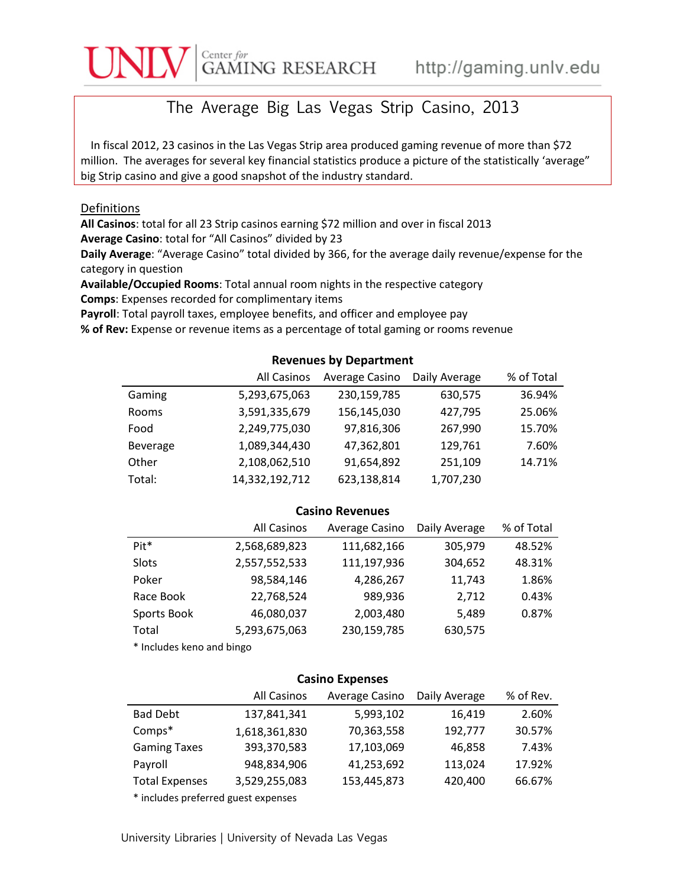# $\overbrace{\text{GAMING}}^{\text{Center for}}\ \text{RESEARCH} \qquad \text{http://gaming.unlv.edu}$

## The Average Big Las Vegas Strip Casino, 2013

In fiscal 2012, 23 casinos in the Las Vegas Strip area produced gaming revenue of more than \$72 million. The averages for several key financial statistics produce a picture of the statistically 'average" big Strip casino and give a good snapshot of the industry standard.

#### Definitions

**All Casinos**: total for all 23 Strip casinos earning \$72 million and over in fiscal 2013 **Average Casino**: total for "All Casinos" divided by 23

**Daily Average**: "Average Casino" total divided by 366, for the average daily revenue/expense for the category in question

**Available/Occupied Rooms**: Total annual room nights in the respective category **Comps**: Expenses recorded for complimentary items

**Payroll**: Total payroll taxes, employee benefits, and officer and employee pay

**% of Rev:** Expense or revenue items as a percentage of total gaming or rooms revenue

### **Revenues by Department**

|          | All Casinos    | Average Casino | Daily Average | % of Total |
|----------|----------------|----------------|---------------|------------|
| Gaming   | 5,293,675,063  | 230,159,785    | 630,575       | 36.94%     |
| Rooms    | 3,591,335,679  | 156,145,030    | 427,795       | 25.06%     |
| Food     | 2,249,775,030  | 97,816,306     | 267,990       | 15.70%     |
| Beverage | 1,089,344,430  | 47,362,801     | 129,761       | 7.60%      |
| Other    | 2,108,062,510  | 91,654,892     | 251,109       | 14.71%     |
| Total:   | 14,332,192,712 | 623,138,814    | 1,707,230     |            |

#### **Casino Revenues**

|             | <b>All Casinos</b> | Average Casino | Daily Average | % of Total |
|-------------|--------------------|----------------|---------------|------------|
| Pit*        | 2,568,689,823      | 111,682,166    | 305,979       | 48.52%     |
| Slots       | 2,557,552,533      | 111,197,936    | 304,652       | 48.31%     |
| Poker       | 98,584,146         | 4,286,267      | 11,743        | 1.86%      |
| Race Book   | 22,768,524         | 989,936        | 2,712         | 0.43%      |
| Sports Book | 46,080,037         | 2,003,480      | 5,489         | 0.87%      |
| Total       | 5,293,675,063      | 230,159,785    | 630,575       |            |

\* Includes keno and bingo

#### **Casino Expenses**

|                                      | All Casinos   | Average Casino | Daily Average | % of Rev. |
|--------------------------------------|---------------|----------------|---------------|-----------|
| <b>Bad Debt</b>                      | 137,841,341   | 5,993,102      | 16,419        | 2.60%     |
| Comps*                               | 1,618,361,830 | 70,363,558     | 192,777       | 30.57%    |
| <b>Gaming Taxes</b>                  | 393,370,583   | 17,103,069     | 46,858        | 7.43%     |
| Payroll                              | 948,834,906   | 41,253,692     | 113,024       | 17.92%    |
| <b>Total Expenses</b>                | 3,529,255,083 | 153,445,873    | 420,400       | 66.67%    |
| $*$ includes proferred guast evappes |               |                |               |           |

\* includes preferred guest expenses